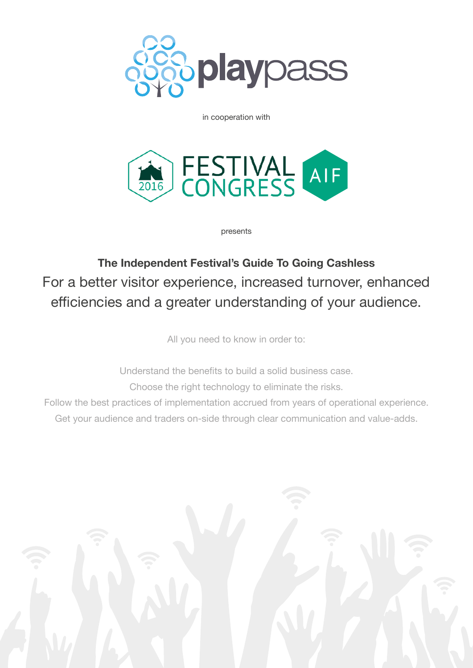

in cooperation with



presents

**The Independent Festival's Guide To Going Cashless** For a better visitor experience, increased turnover, enhanced efficiencies and a greater understanding of your audience.

All you need to know in order to:

Understand the benefits to build a solid business case. Choose the right technology to eliminate the risks.

Follow the best practices of implementation accrued from years of operational experience. Get your audience and traders on-side through clear communication and value-adds.

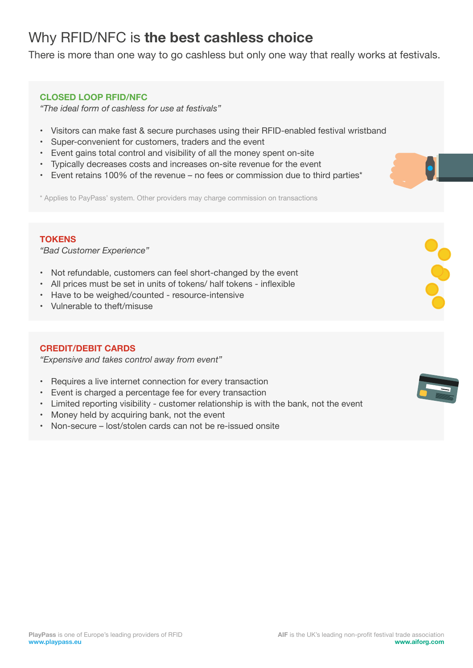# Why RFID/NFC is **the best cashless choice**

There is more than one way to go cashless but only one way that really works at festivals.

### **CLOSED LOOP RFID/NFC**

*"The ideal form of cashless for use at festivals"*

- Visitors can make fast & secure purchases using their RFID-enabled festival wristband
- Super-convenient for customers, traders and the event
- Event gains total control and visibility of all the money spent on-site
- Typically decreases costs and increases on-site revenue for the event
- Event retains 100% of the revenue no fees or commission due to third parties\*

\* Applies to PayPass' system. Other providers may charge commission on transactions

### **TOKENS**

*"Bad Customer Experience"*

- Not refundable, customers can feel short-changed by the event
- All prices must be set in units of tokens/ half tokens inflexible
- Have to be weighed/counted resource-intensive
- Vulnerable to theft/misuse

## **CREDIT/DEBIT CARDS**

*"Expensive and takes control away from event"* 

- Requires a live internet connection for every transaction
- Event is charged a percentage fee for every transaction
- Limited reporting visibility customer relationship is with the bank, not the event
- Money held by acquiring bank, not the event
- Non-secure lost/stolen cards can not be re-issued onsite

**POPO**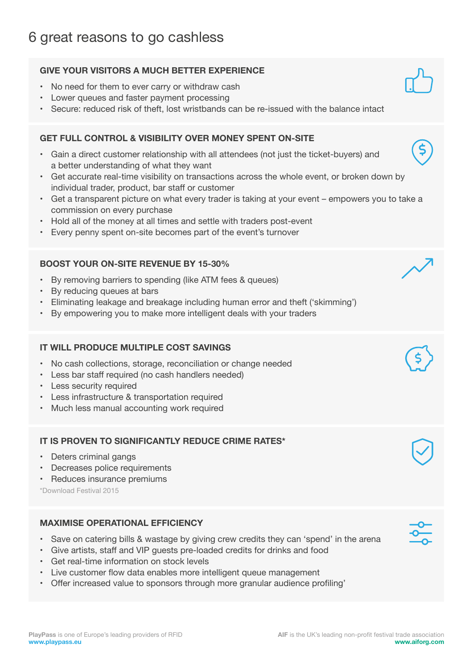# **GIVE YOUR VISITORS A MUCH BETTER EXPERIENCE**

- No need for them to ever carry or withdraw cash
- Lower queues and faster payment processing
- Secure: reduced risk of theft, lost wristbands can be re-issued with the balance intact

# **GET FULL CONTROL & VISIBILITY OVER MONEY SPENT ON-SITE**

- Gain a direct customer relationship with all attendees (not just the ticket-buyers) and a better understanding of what they want
- Get accurate real-time visibility on transactions across the whole event, or broken down by individual trader, product, bar staff or customer
- Get a transparent picture on what every trader is taking at your event empowers you to take a commission on every purchase
- Hold all of the money at all times and settle with traders post-event
- Every penny spent on-site becomes part of the event's turnover

# **BOOST YOUR ON-SITE REVENUE BY 15-30%**

- By removing barriers to spending (like ATM fees & queues)
- By reducing queues at bars
- Eliminating leakage and breakage including human error and theft ('skimming')
- By empowering you to make more intelligent deals with your traders

# **IT WILL PRODUCE MULTIPLE COST SAVINGS**

- No cash collections, storage, reconciliation or change needed
- Less bar staff required (no cash handlers needed)
- Less security required
- Less infrastructure & transportation required
- Much less manual accounting work required

# **IT IS PROVEN TO SIGNIFICANTLY REDUCE CRIME RATES\***

- Deters criminal gangs
- Decreases police requirements
- Reduces insurance premiums

\*Download Festival 2015

# **MAXIMISE OPERATIONAL EFFICIENCY**

- Save on catering bills & wastage by giving crew credits they can 'spend' in the arena
- Give artists, staff and VIP guests pre-loaded credits for drinks and food
- Get real-time information on stock levels
- Live customer flow data enables more intelligent queue management
- Offer increased value to sponsors through more granular audience profiling'















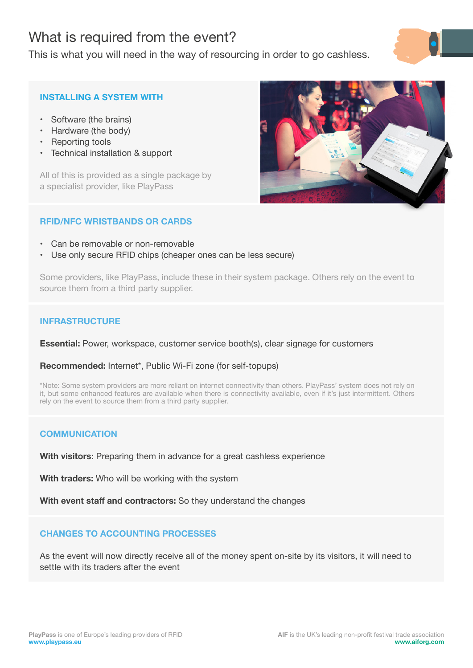# What is required from the event?

This is what you will need in the way of resourcing in order to go cashless.



## **INSTALLING A SYSTEM WITH**

- Software (the brains)
- Hardware (the body)
- Reporting tools
- Technical installation & support

All of this is provided as a single package by a specialist provider, like PlayPass

## **RFID/NFC WRISTBANDS OR CARDS**

- Can be removable or non-removable
- Use only secure RFID chips (cheaper ones can be less secure)

Some providers, like PlayPass, include these in their system package. Others rely on the event to source them from a third party supplier.

## **INFRASTRUCTURE**

**Essential:** Power, workspace, customer service booth(s), clear signage for customers

## **Recommended:** Internet\*, Public Wi-Fi zone (for self-topups)

\*Note: Some system providers are more reliant on internet connectivity than others. PlayPass' system does not rely on it, but some enhanced features are available when there is connectivity available, even if it's just intermittent. Others rely on the event to source them from a third party supplier.

## **COMMUNICATION**

**With visitors:** Preparing them in advance for a great cashless experience

**With traders:** Who will be working with the system

**With event staff and contractors:** So they understand the changes

## **CHANGES TO ACCOUNTING PROCESSES**

As the event will now directly receive all of the money spent on-site by its visitors, it will need to settle with its traders after the event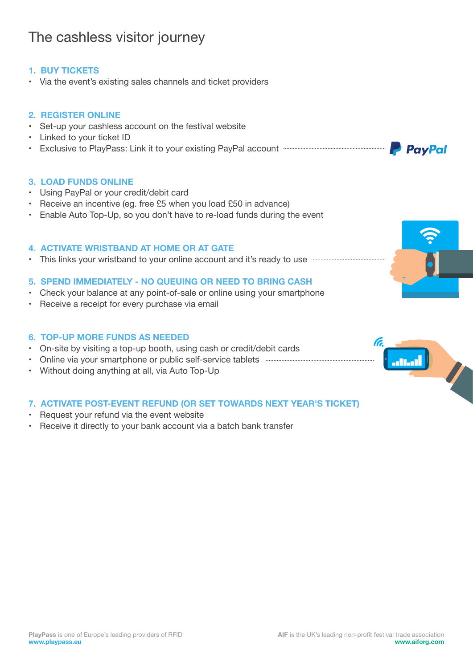## **1. BUY TICKETS**

• Via the event's existing sales channels and ticket providers

### **2. REGISTER ONLINE**

- Set-up your cashless account on the festival website
- Linked to your ticket ID
- Exclusive to PlayPass: Link it to your existing PayPal account

### **3. LOAD FUNDS ONLINE**

- Using PayPal or your credit/debit card
- Receive an incentive (eg. free £5 when you load £50 in advance)
- Enable Auto Top-Up, so you don't have to re-load funds during the event

### **4. ACTIVATE WRISTBAND AT HOME OR AT GATE**

• This links your wristband to your online account and it's ready to use  $-\frac{1}{2}$ 

### **5. SPEND IMMEDIATELY - NO QUEUING OR NEED TO BRING CASH**

- Check your balance at any point-of-sale or online using your smartphone
- Receive a receipt for every purchase via email

### **6. TOP-UP MORE FUNDS AS NEEDED**

- On-site by visiting a top-up booth, using cash or credit/debit cards
- Online via your smartphone or public self-service tablets
- Without doing anything at all, via Auto Top-Up

### **7. ACTIVATE POST-EVENT REFUND (OR SET TOWARDS NEXT YEAR'S TICKET)**

- Request your refund via the event website
- Receive it directly to your bank account via a batch bank transfer









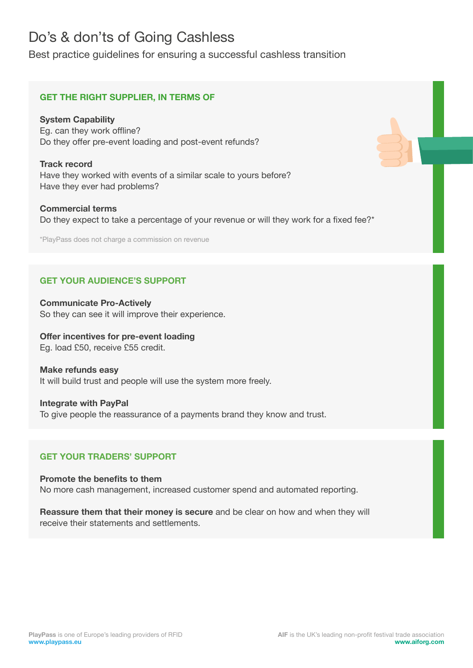# Do's & don'ts of Going Cashless

Best practice guidelines for ensuring a successful cashless transition

## **GET THE RIGHT SUPPLIER, IN TERMS OF**

**System Capability** Eg. can they work offline? Do they offer pre-event loading and post-event refunds?

**Track record**  Have they worked with events of a similar scale to yours before? Have they ever had problems?

**Commercial terms** Do they expect to take a percentage of your revenue or will they work for a fixed fee?\*

\*PlayPass does not charge a commission on revenue

# **GET YOUR AUDIENCE'S SUPPORT**

**Communicate Pro-Actively** So they can see it will improve their experience.

**Offer incentives for pre-event loading** Eg. load £50, receive £55 credit.

## **Make refunds easy** It will build trust and people will use the system more freely.

**Integrate with PayPal** To give people the reassurance of a payments brand they know and trust.

## **GET YOUR TRADERS' SUPPORT**

**Promote the benefits to them** No more cash management, increased customer spend and automated reporting.

**Reassure them that their money is secure** and be clear on how and when they will receive their statements and settlements.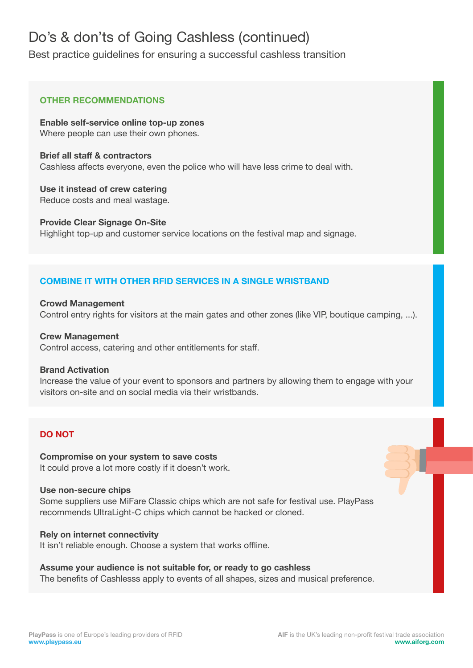# Do's & don'ts of Going Cashless (continued)

Best practice guidelines for ensuring a successful cashless transition

## **OTHER RECOMMENDATIONS**

**Enable self-service online top-up zones** Where people can use their own phones.

**Brief all staff & contractors** Cashless affects everyone, even the police who will have less crime to deal with.

**Use it instead of crew catering** Reduce costs and meal wastage.

**Provide Clear Signage On-Site** Highlight top-up and customer service locations on the festival map and signage.

## **COMBINE IT WITH OTHER RFID SERVICES IN A SINGLE WRISTBAND**

**Crowd Management** Control entry rights for visitors at the main gates and other zones (like VIP, boutique camping, ...).

## **Crew Management**

Control access, catering and other entitlements for staff.

## **Brand Activation**

Increase the value of your event to sponsors and partners by allowing them to engage with your visitors on-site and on social media via their wristbands.

## **DO NOT**

**Compromise on your system to save costs** It could prove a lot more costly if it doesn't work.

### **Use non-secure chips**

Some suppliers use MiFare Classic chips which are not safe for festival use. PlayPass recommends UltraLight-C chips which cannot be hacked or cloned.

### **Rely on internet connectivity**

It isn't reliable enough. Choose a system that works offline.

## **Assume your audience is not suitable for, or ready to go cashless**

The benefits of Cashlesss apply to events of all shapes, sizes and musical preference.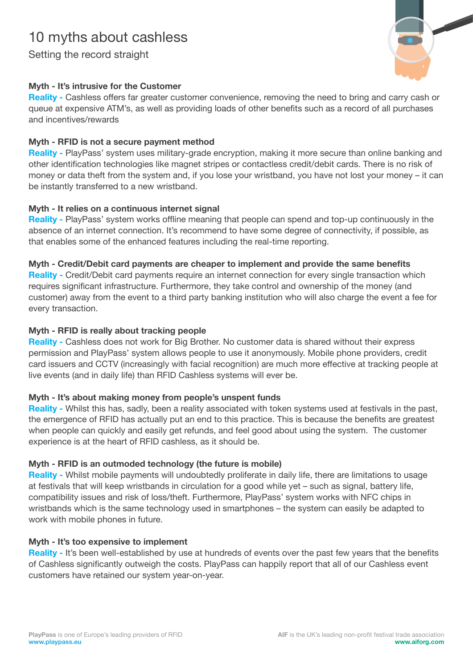# 10 myths about cashless

Setting the record straight



# **Myth - It's intrusive for the Customer**

**Reality -** Cashless offers far greater customer convenience, removing the need to bring and carry cash or queue at expensive ATM's, as well as providing loads of other benefits such as a record of all purchases and incentives/rewards

## **Myth - RFID is not a secure payment method**

**Reality -** PlayPass' system uses military-grade encryption, making it more secure than online banking and other identification technologies like magnet stripes or contactless credit/debit cards. There is no risk of money or data theft from the system and, if you lose your wristband, you have not lost your money – it can be instantly transferred to a new wristband.

# **Myth - It relies on a continuous internet signal**

**Reality -** PlayPass' system works offline meaning that people can spend and top-up continuously in the absence of an internet connection. It's recommend to have some degree of connectivity, if possible, as that enables some of the enhanced features including the real-time reporting.

## **Myth - Credit/Debit card payments are cheaper to implement and provide the same benefits**

**Reality -** Credit/Debit card payments require an internet connection for every single transaction which requires significant infrastructure. Furthermore, they take control and ownership of the money (and customer) away from the event to a third party banking institution who will also charge the event a fee for every transaction.

## **Myth - RFID is really about tracking people**

**Reality -** Cashless does not work for Big Brother. No customer data is shared without their express permission and PlayPass' system allows people to use it anonymously. Mobile phone providers, credit card issuers and CCTV (increasingly with facial recognition) are much more effective at tracking people at live events (and in daily life) than RFID Cashless systems will ever be.

# **Myth - It's about making money from people's unspent funds**

**Reality -** Whilst this has, sadly, been a reality associated with token systems used at festivals in the past, the emergence of RFID has actually put an end to this practice. This is because the benefits are greatest when people can quickly and easily get refunds, and feel good about using the system. The customer experience is at the heart of RFID cashless, as it should be.

# **Myth - RFID is an outmoded technology (the future is mobile)**

**Reality -** Whilst mobile payments will undoubtedly proliferate in daily life, there are limitations to usage at festivals that will keep wristbands in circulation for a good while yet – such as signal, battery life, compatibility issues and risk of loss/theft. Furthermore, PlayPass' system works with NFC chips in wristbands which is the same technology used in smartphones – the system can easily be adapted to work with mobile phones in future.

## **Myth - It's too expensive to implement**

**Reality -** It's been well-established by use at hundreds of events over the past few years that the benefits of Cashless significantly outweigh the costs. PlayPass can happily report that all of our Cashless event customers have retained our system year-on-year.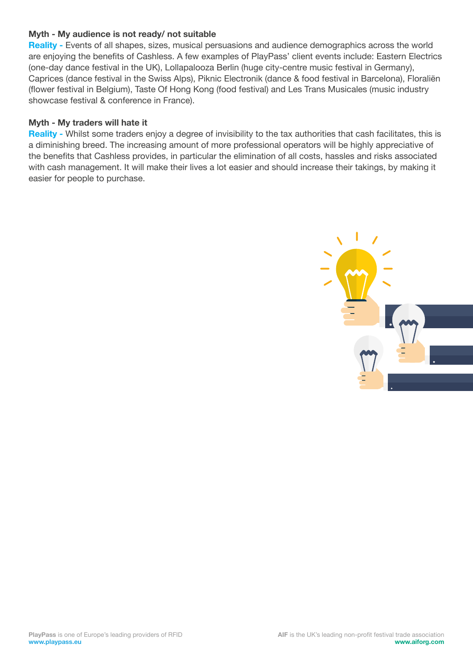## **Myth - My audience is not ready/ not suitable**

**Reality -** Events of all shapes, sizes, musical persuasions and audience demographics across the world are enjoying the benefits of Cashless. A few examples of PlayPass' client events include: Eastern Electrics (one-day dance festival in the UK), Lollapalooza Berlin (huge city-centre music festival in Germany), Caprices (dance festival in the Swiss Alps), Piknic Electronik (dance & food festival in Barcelona), Floraliën (flower festival in Belgium), Taste Of Hong Kong (food festival) and Les Trans Musicales (music industry showcase festival & conference in France).

## **Myth - My traders will hate it**

**Reality -** Whilst some traders enjoy a degree of invisibility to the tax authorities that cash facilitates, this is a diminishing breed. The increasing amount of more professional operators will be highly appreciative of the benefits that Cashless provides, in particular the elimination of all costs, hassles and risks associated with cash management. It will make their lives a lot easier and should increase their takings, by making it easier for people to purchase.

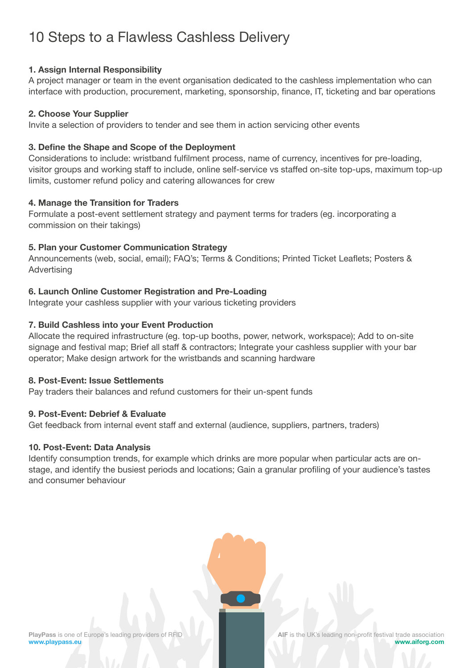# 10 Steps to a Flawless Cashless Delivery

## **1. Assign Internal Responsibility**

A project manager or team in the event organisation dedicated to the cashless implementation who can interface with production, procurement, marketing, sponsorship, finance, IT, ticketing and bar operations

### **2. Choose Your Supplier**

Invite a selection of providers to tender and see them in action servicing other events

### **3. Define the Shape and Scope of the Deployment**

Considerations to include: wristband fulfilment process, name of currency, incentives for pre-loading, visitor groups and working staff to include, online self-service vs staffed on-site top-ups, maximum top-up limits, customer refund policy and catering allowances for crew

### **4. Manage the Transition for Traders**

Formulate a post-event settlement strategy and payment terms for traders (eg. incorporating a commission on their takings)

## **5. Plan your Customer Communication Strategy**

Announcements (web, social, email); FAQ's; Terms & Conditions; Printed Ticket Leaflets; Posters & Advertising

### **6. Launch Online Customer Registration and Pre-Loading**

Integrate your cashless supplier with your various ticketing providers

## **7. Build Cashless into your Event Production**

Allocate the required infrastructure (eg. top-up booths, power, network, workspace); Add to on-site signage and festival map; Brief all staff & contractors; Integrate your cashless supplier with your bar operator; Make design artwork for the wristbands and scanning hardware

### **8. Post-Event: Issue Settlements**

Pay traders their balances and refund customers for their un-spent funds

### **9. Post-Event: Debrief & Evaluate**

Get feedback from internal event staff and external (audience, suppliers, partners, traders)

### **10. Post-Event: Data Analysis**

Identify consumption trends, for example which drinks are more popular when particular acts are onstage, and identify the busiest periods and locations; Gain a granular profiling of your audience's tastes and consumer behaviour

**PlayPass** is one of Europe's leading providers of RFID **www.playpass.eu**

**AIF** is the UK's leading non-profit festival trade association **www.aiforg.com**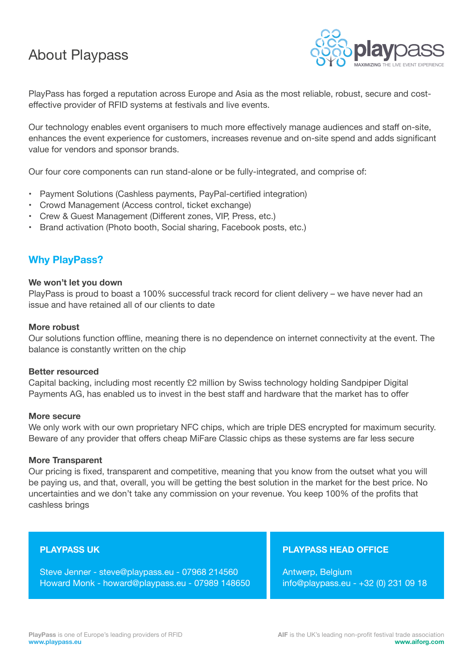# About Playpass



PlayPass has forged a reputation across Europe and Asia as the most reliable, robust, secure and costeffective provider of RFID systems at festivals and live events.

Our technology enables event organisers to much more effectively manage audiences and staff on-site, enhances the event experience for customers, increases revenue and on-site spend and adds significant value for vendors and sponsor brands.

Our four core components can run stand-alone or be fully-integrated, and comprise of:

- Payment Solutions (Cashless payments, PayPal-certified integration)
- Crowd Management (Access control, ticket exchange)
- Crew & Guest Management (Different zones, VIP, Press, etc.)
- Brand activation (Photo booth, Social sharing, Facebook posts, etc.)

# **Why PlayPass?**

### **We won't let you down**

PlayPass is proud to boast a 100% successful track record for client delivery – we have never had an issue and have retained all of our clients to date

### **More robust**

Our solutions function offline, meaning there is no dependence on internet connectivity at the event. The balance is constantly written on the chip

### **Better resourced**

Capital backing, including most recently £2 million by Swiss technology holding Sandpiper Digital Payments AG, has enabled us to invest in the best staff and hardware that the market has to offer

### **More secure**

We only work with our own proprietary NFC chips, which are triple DES encrypted for maximum security. Beware of any provider that offers cheap MiFare Classic chips as these systems are far less secure

### **More Transparent**

Our pricing is fixed, transparent and competitive, meaning that you know from the outset what you will be paying us, and that, overall, you will be getting the best solution in the market for the best price. No uncertainties and we don't take any commission on your revenue. You keep 100% of the profits that cashless brings

### **PLAYPASS UK**

Steve Jenner - steve@playpass.eu - 07968 214560 Howard Monk - howard@playpass.eu - 07989 148650

### **PLAYPASS HEAD OFFICE**

Antwerp, Belgium info@playpass.eu - +32 (0) 231 09 18